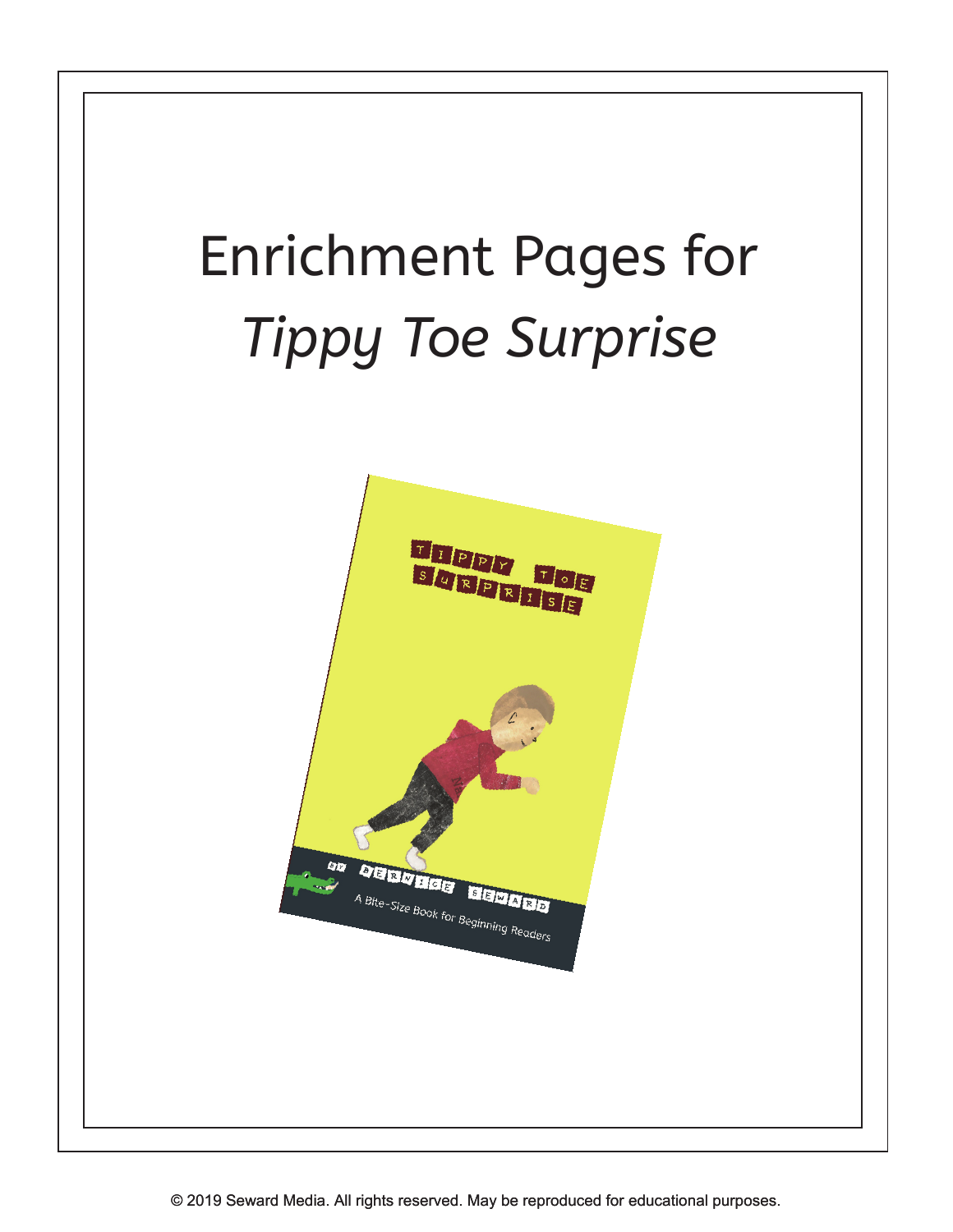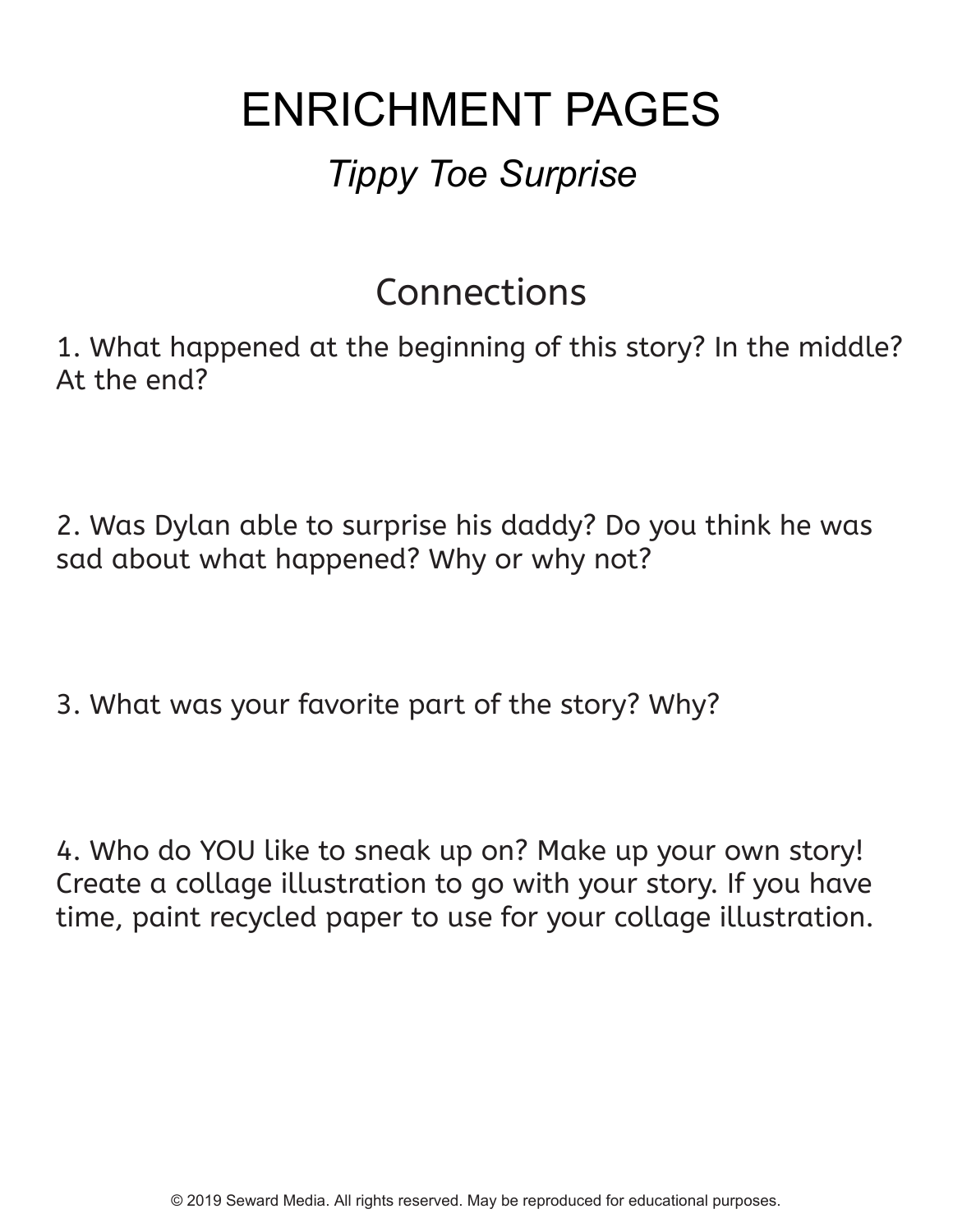# ENRICHMENT PAGES

#### *Tippy Toe Surprise*

#### Connections

1. What happened at the beginning of this story? In the middle? At the end?

2. Was Dylan able to surprise his daddy? Do you think he was sad about what happened? Why or why not?

3. What was your favorite part of the story? Why?

4. Who do YOU like to sneak up on? Make up your own story! Create a collage illustration to go with your story. If you have time, paint recycled paper to use for your collage illustration.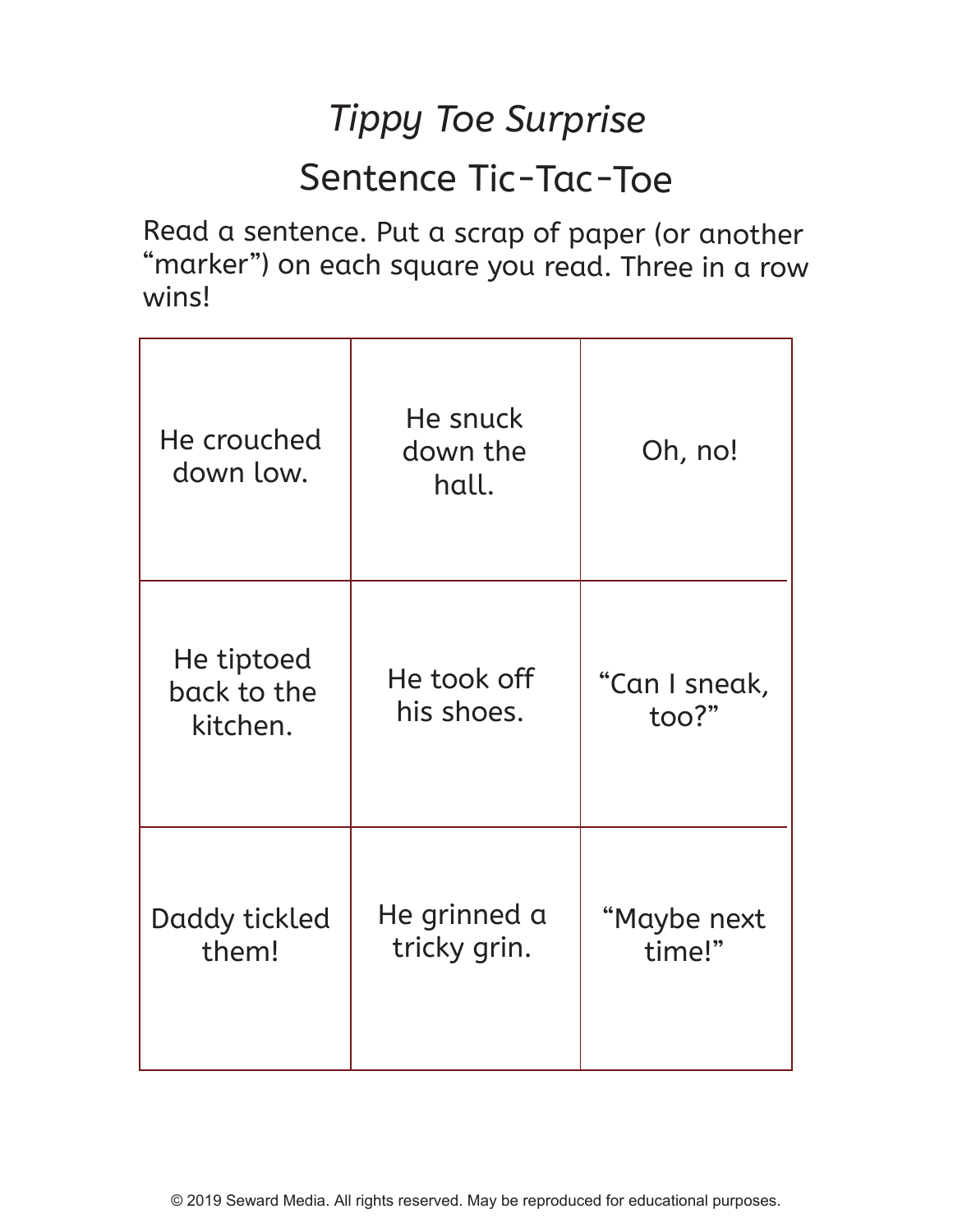## *Tippy Toe Surprise* Sentence Tic-Tac-Toe

Read a sentence. Put a scrap of paper (or another "marker") on each square you read. Three in a row wins!

| He crouched<br>down low.              | He snuck<br>down the<br>hall. | Oh, no!                |
|---------------------------------------|-------------------------------|------------------------|
| He tiptoed<br>back to the<br>kitchen. | He took off<br>his shoes.     | "Can I sneak,<br>too?" |
| Daddy tickled<br>them!                | He grinned a<br>tricky grin.  | "Maybe next<br>time!"  |